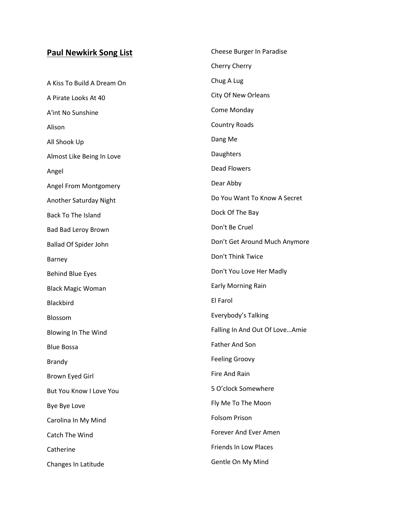## **Paul Newkirk Song List**

|                            | Cherry Cherry                  |
|----------------------------|--------------------------------|
| A Kiss To Build A Dream On | Chug A Lug                     |
| A Pirate Looks At 40       | <b>City Of New Orleans</b>     |
| A'int No Sunshine          | Come Monday                    |
| Alison                     | <b>Country Roads</b>           |
| All Shook Up               | Dang Me                        |
| Almost Like Being In Love  | Daughters                      |
| Angel                      | <b>Dead Flowers</b>            |
| Angel From Montgomery      | Dear Abby                      |
| Another Saturday Night     | Do You Want To Know A Secret   |
| <b>Back To The Island</b>  | Dock Of The Bay                |
| Bad Bad Leroy Brown        | Don't Be Cruel                 |
| Ballad Of Spider John      | Don't Get Around Much Anymore  |
| Barney                     | Don't Think Twice              |
| <b>Behind Blue Eyes</b>    | Don't You Love Her Madly       |
| <b>Black Magic Woman</b>   | <b>Early Morning Rain</b>      |
| <b>Blackbird</b>           | El Farol                       |
| Blossom                    | Everybody's Talking            |
| Blowing In The Wind        | Falling In And Out Of LoveAmie |
| <b>Blue Bossa</b>          | <b>Father And Son</b>          |
| <b>Brandy</b>              | <b>Feeling Groovy</b>          |
| Brown Eyed Girl            | Fire And Rain                  |
| But You Know I Love You    | 5 O'clock Somewhere            |
| Bye Bye Love               | Fly Me To The Moon             |
| Carolina In My Mind        | <b>Folsom Prison</b>           |
| <b>Catch The Wind</b>      | Forever And Ever Amen          |
| Catherine                  | <b>Friends In Low Places</b>   |
| Changes In Latitude        | Gentle On My Mind              |

Cheese Burger In Paradise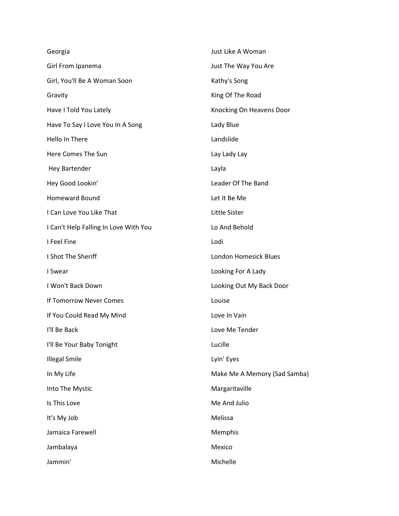| Georgia                               | Just Like A Woman            |
|---------------------------------------|------------------------------|
| Girl From Ipanema                     | Just The Way You Are         |
| Girl, You'll Be A Woman Soon          | Kathy's Song                 |
| Gravity                               | King Of The Road             |
| Have I Told You Lately                | Knocking On Heavens Door     |
| Have To Say I Love You In A Song      | Lady Blue                    |
| Hello In There                        | Landslide                    |
| Here Comes The Sun                    | Lay Lady Lay                 |
| Hey Bartender                         | Layla                        |
| Hey Good Lookin'                      | Leader Of The Band           |
| <b>Homeward Bound</b>                 | Let It Be Me                 |
| I Can Love You Like That              | Little Sister                |
| I Can't Help Falling In Love With You | Lo And Behold                |
| I Feel Fine                           | Lodi                         |
| I Shot The Sheriff                    | <b>London Homesick Blues</b> |
| I Swear                               | Looking For A Lady           |
| I Won't Back Down                     | Looking Out My Back Door     |
| If Tomorrow Never Comes               | Louise                       |
| If You Could Read My Mind             | Love In Vain                 |
| I'll Be Back                          | Love Me Tender               |
| I'll Be Your Baby Tonight             | Lucille                      |
| <b>Illegal Smile</b>                  | Lyin' Eyes                   |
| In My Life                            | Make Me A Memory (Sad Samba) |
| Into The Mystic                       | Margaritaville               |
| Is This Love                          | Me And Julio                 |
| It's My Job                           | Melissa                      |
| Jamaica Farewell                      | Memphis                      |
| Jambalaya                             | Mexico                       |
| Jammin'                               | Michelle                     |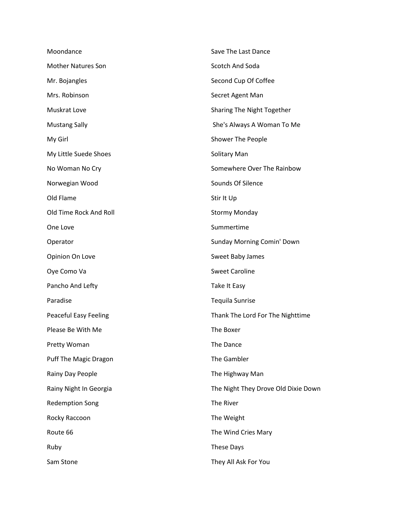| Moondance                 | Save The Last Dance                 |
|---------------------------|-------------------------------------|
| <b>Mother Natures Son</b> | Scotch And Soda                     |
| Mr. Bojangles             | Second Cup Of Coffee                |
| Mrs. Robinson             | Secret Agent Man                    |
| Muskrat Love              | Sharing The Night Together          |
| <b>Mustang Sally</b>      | She's Always A Woman To Me          |
| My Girl                   | Shower The People                   |
| My Little Suede Shoes     | Solitary Man                        |
| No Woman No Cry           | Somewhere Over The Rainbow          |
| Norwegian Wood            | Sounds Of Silence                   |
| Old Flame                 | Stir It Up                          |
| Old Time Rock And Roll    | <b>Stormy Monday</b>                |
| One Love                  | Summertime                          |
| Operator                  | <b>Sunday Morning Comin' Down</b>   |
| Opinion On Love           | Sweet Baby James                    |
| Oye Como Va               | <b>Sweet Caroline</b>               |
| Pancho And Lefty          | Take It Easy                        |
| Paradise                  | <b>Tequila Sunrise</b>              |
| Peaceful Easy Feeling     | Thank The Lord For The Nighttime    |
| Please Be With Me         | The Boxer                           |
| Pretty Woman              | The Dance                           |
| Puff The Magic Dragon     | The Gambler                         |
| Rainy Day People          | The Highway Man                     |
| Rainy Night In Georgia    | The Night They Drove Old Dixie Down |
| <b>Redemption Song</b>    | The River                           |
| Rocky Raccoon             | The Weight                          |
| Route 66                  | The Wind Cries Mary                 |
| Ruby                      | These Days                          |
| Sam Stone                 | They All Ask For You                |